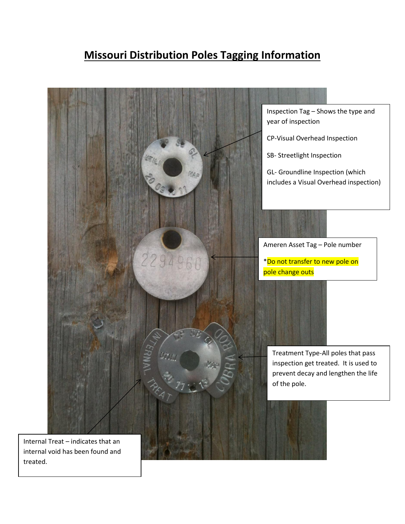## **Missouri Distribution Poles Tagging Information**